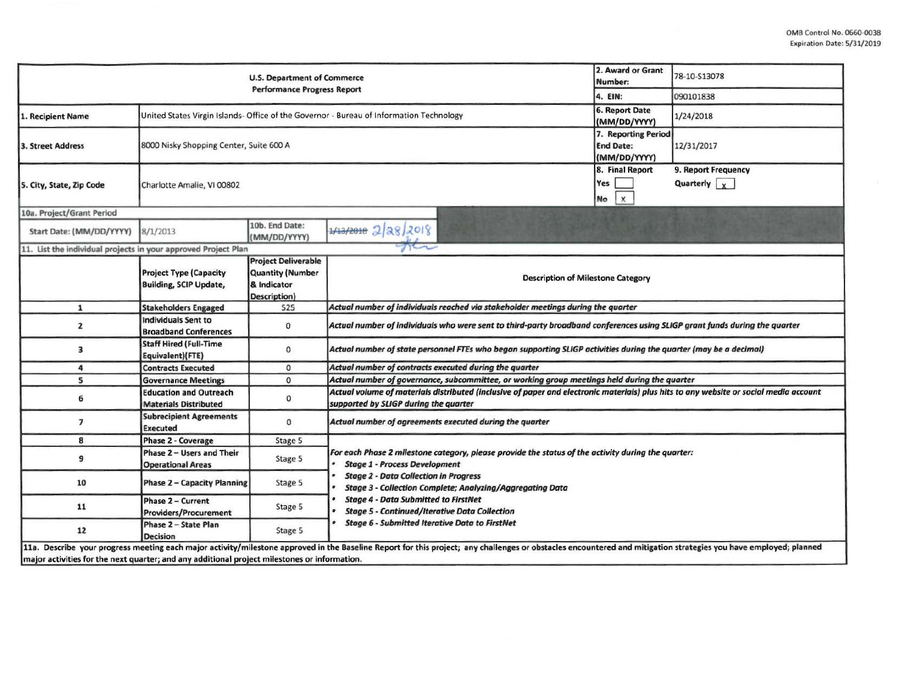|                                                                                              |                                                                | <b>U.S. Department of Commerce</b>                                                   |                                                                                                                                                                                                                  | 2. Award or Grant<br>Number:                            | 78-10-S13078                                           |  |  |  |  |
|----------------------------------------------------------------------------------------------|----------------------------------------------------------------|--------------------------------------------------------------------------------------|------------------------------------------------------------------------------------------------------------------------------------------------------------------------------------------------------------------|---------------------------------------------------------|--------------------------------------------------------|--|--|--|--|
|                                                                                              |                                                                | <b>Performance Progress Report</b>                                                   |                                                                                                                                                                                                                  | 4. EIN:                                                 | 090101838                                              |  |  |  |  |
| 1. Recipient Name                                                                            |                                                                |                                                                                      | United States Virgin Islands- Office of the Governor - Bureau of Information Technology                                                                                                                          | 6. Report Date<br>(MM/DD/YYYY)                          | 1/24/2018                                              |  |  |  |  |
| 3. Street Address                                                                            | 8000 Nisky Shopping Center, Suite 600 A                        |                                                                                      |                                                                                                                                                                                                                  | 7. Reporting Period<br><b>End Date:</b><br>(MM/DD/YYYY) | 12/31/2017                                             |  |  |  |  |
| 5. City, State, Zip Code                                                                     | Charlotte Amalie, VI 00802                                     |                                                                                      |                                                                                                                                                                                                                  | 8. Final Report<br>Yes<br>$\mathsf{x}$<br>No            | 9. Report Frequency<br>Quarterly $\vert \cdot \rangle$ |  |  |  |  |
| 10a. Project/Grant Period                                                                    |                                                                |                                                                                      |                                                                                                                                                                                                                  |                                                         |                                                        |  |  |  |  |
| Start Date: (MM/DD/YYYY)                                                                     | 8/1/2013                                                       | 10b. End Date:<br>(MM/DD/YYYY)                                                       | $1/13/2010$ 2 28/2018                                                                                                                                                                                            |                                                         |                                                        |  |  |  |  |
| 11. List the individual projects in your approved Project Plan                               |                                                                |                                                                                      |                                                                                                                                                                                                                  |                                                         |                                                        |  |  |  |  |
|                                                                                              | <b>Project Type (Capacity</b><br><b>Building, SCIP Update,</b> | <b>Project Deliverable</b><br><b>Quantity (Number</b><br>& Indicator<br>Description) | <b>Description of Milestone Category</b>                                                                                                                                                                         |                                                         |                                                        |  |  |  |  |
| $\mathbf{1}$                                                                                 | <b>Stakeholders Engaged</b>                                    | 525                                                                                  | Actual number of individuals reached via stakeholder meetings during the quarter                                                                                                                                 |                                                         |                                                        |  |  |  |  |
| 2                                                                                            | <b>Individuals Sent to</b><br><b>Broadband Conferences</b>     | $\circ$                                                                              | Actual number of individuals who were sent to third-party broadband conferences using SLIGP grant funds during the quarter                                                                                       |                                                         |                                                        |  |  |  |  |
| 3                                                                                            | <b>Staff Hired (Full-Time</b><br>Equivalent)(FTE)              | 0                                                                                    | Actual number of state personnel FTEs who began supporting SLIGP activities during the quarter (may be a decimal)                                                                                                |                                                         |                                                        |  |  |  |  |
| 4                                                                                            | <b>Contracts Executed</b>                                      | 0                                                                                    | Actual number of contracts executed during the quarter                                                                                                                                                           |                                                         |                                                        |  |  |  |  |
| 5                                                                                            | <b>Governance Meetings</b>                                     | o                                                                                    | Actual number of governance, subcommittee, or working group meetings held during the quarter                                                                                                                     |                                                         |                                                        |  |  |  |  |
| 6                                                                                            | <b>Education and Outreach</b><br><b>Materials Distributed</b>  | 0                                                                                    | Actual volume of materials distributed (inclusive of paper and electronic materials) plus hits to any website or social media account<br>supported by SLIGP during the quarter                                   |                                                         |                                                        |  |  |  |  |
| $\overline{7}$                                                                               | <b>Subrecipient Agreements</b><br><b>Executed</b>              | 0                                                                                    | Actual number of agreements executed during the quarter                                                                                                                                                          |                                                         |                                                        |  |  |  |  |
| 8                                                                                            | Phase 2 - Coverage                                             | Stage 5                                                                              |                                                                                                                                                                                                                  |                                                         |                                                        |  |  |  |  |
| 9                                                                                            | Phase 2 - Users and Their<br><b>Operational Areas</b>          | Stage 5                                                                              | For each Phase 2 milestone category, please provide the status of the activity during the quarter:<br><b>Stage 1 - Process Development</b>                                                                       |                                                         |                                                        |  |  |  |  |
| 10                                                                                           | <b>Phase 2 - Capacity Planning</b>                             | Stage 5                                                                              | <b>Stage 2 - Data Collection in Progress</b><br><b>Stage 3 - Collection Complete; Analyzing/Aggregating Data</b>                                                                                                 |                                                         |                                                        |  |  |  |  |
| 11                                                                                           | Phase 2 - Current<br><b>Providers/Procurement</b>              | Stage 5                                                                              | <b>Stage 4 - Data Submitted to FirstNet</b><br><b>Stage 5 - Continued/Iterative Data Collection</b>                                                                                                              |                                                         |                                                        |  |  |  |  |
| 12                                                                                           | Phase 2 - State Plan<br><b>Decision</b>                        | Stage 5                                                                              | <b>Stage 6 - Submitted Iterative Data to FirstNet</b>                                                                                                                                                            |                                                         |                                                        |  |  |  |  |
| major activities for the next quarter; and any additional project milestones or information. |                                                                |                                                                                      | 11a. Describe your progress meeting each major activity/milestone approved in the Baseline Report for this project; any challenges or obstacles encountered and mitigation strategies you have employed; planned |                                                         |                                                        |  |  |  |  |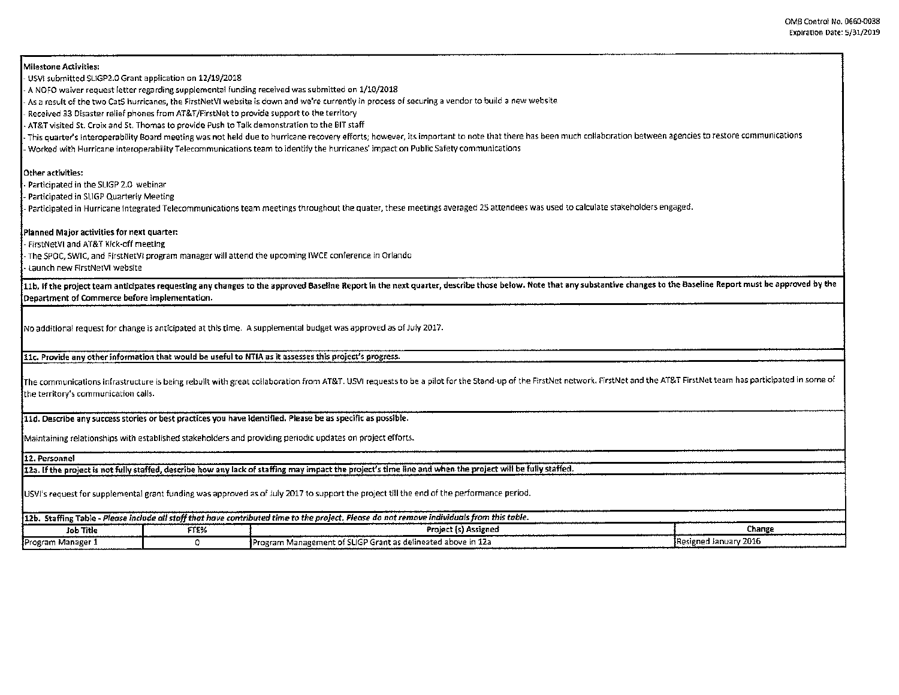Milestone Activities: - USVl submitted SLIGP2.0 Grant application on 12/19/2018 - A NOFO waiver request letter regarding supplemental funding received was submitted on 1/10/2018 - As a result of the two CatS hurricanes, the FirstNetVI website is down and we're currently in process of securing a vendor to build a new website Received 33 Disaster relief phones from AT&T/FirstNet to provide support to the territory - AT&T visited St. Croix and St. Thomas to provide Push to Talk demonstration to the BIT staff This quarter's Interoperability Board meeting was not held due to hurricane recovery efforts; however, its important to note that there has been much collaboration between agencies to restore communications - Worked with Hurricane interoperability Telecommunications team to identify the hurricanes' impact on Public Safety communications Other activities; Participated in the SUGP 2.0 webinar - Participated in SLIGP Quarterly Meeting - Participated in Hurricane Integrated Telecommunications team meetings throughout the quater, these meetings averaged 2S attendees was used to calculate stakeholders engaged. Planned Major activlties for next quarter: - FirstNetVI and AT&T Kick-off meeting - The SPOC, SWIC, and FirstNetV! program manager will attend the upcoming IWCE conference in Orlando • launch new FlrstNetVI website 11b. If the project team anticipates requesting any changes to the approved Baseline Report in the next quarter, describe those below. Note that any substantive changes to the Baseline Report must be approved by the Department of Commerce before implementat!on. No additional request for change is anticipated at this time. A supplemental budget was approved as of July 2017. 11c. Provide any other information that would be useful to NTIA as it assesses this project's progress. The communications infrastructure is being rebuilt with great collaboration from AT&T. USVI requests to be a pilot for the Stand-up of the FirstNet network. FirstNet and the AT&T FirstNet team has participated in some of the territory's communication calls. lld. Describe any success stories or best practices you have identified. Please be as specific as possible. Maintaining relationships with established stakeholders and providing periodic updates on project efforts. 12. Personnel 12a. If the project is not fullv staffed, describe how any lack of staffing may impact the project's time llne and when the aroject will be fully staffed. USVl's request for supplemental grant funding was approved *as* of July 2017 to support the project tTII the end of the performance period. 12b. Staffing Table. *Pleose include all striffthat have contributed time to the project. Pleose do not remove individuals from this table.*  In the Internal of the Change of the Change of the Project (s) Assigned Change Change Change Program Manager 1 **I Concerned Access 2016** Program Management of SLIGP Grant as delineated above in 12a I Resigned January 2016